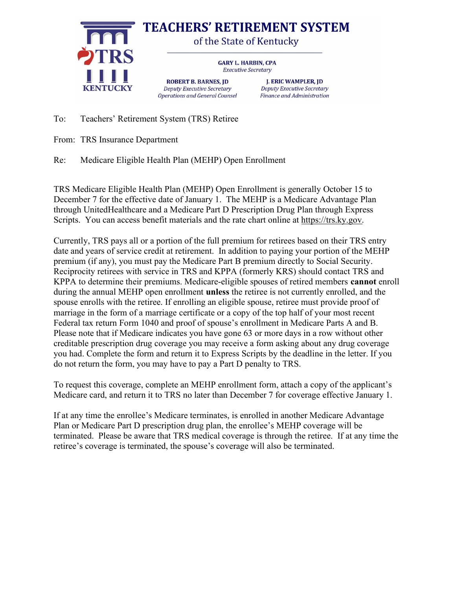

To: Teachers' Retirement System (TRS) Retiree

From: TRS Insurance Department

Re: Medicare Eligible Health Plan (MEHP) Open Enrollment

TRS Medicare Eligible Health Plan (MEHP) Open Enrollment is generally October 15 to December 7 for the effective date of January 1. The MEHP is a Medicare Advantage Plan through UnitedHealthcare and a Medicare Part D Prescription Drug Plan through Express Scripts. You can access benefit materials and the rate chart online at https://trs.ky.gov.

Currently, TRS pays all or a portion of the full premium for retirees based on their TRS entry date and years of service credit at retirement. In addition to paying your portion of the MEHP premium (if any), you must pay the Medicare Part B premium directly to Social Security. Reciprocity retirees with service in TRS and KPPA (formerly KRS) should contact TRS and KPPA to determine their premiums. Medicare-eligible spouses of retired members cannot enroll during the annual MEHP open enrollment unless the retiree is not currently enrolled, and the spouse enrolls with the retiree. If enrolling an eligible spouse, retiree must provide proof of marriage in the form of a marriage certificate or a copy of the top half of your most recent Federal tax return Form 1040 and proof of spouse's enrollment in Medicare Parts A and B. Please note that if Medicare indicates you have gone 63 or more days in a row without other creditable prescription drug coverage you may receive a form asking about any drug coverage you had. Complete the form and return it to Express Scripts by the deadline in the letter. If you do not return the form, you may have to pay a Part D penalty to TRS.

To request this coverage, complete an MEHP enrollment form, attach a copy of the applicant's Medicare card, and return it to TRS no later than December 7 for coverage effective January 1.

If at any time the enrollee's Medicare terminates, is enrolled in another Medicare Advantage Plan or Medicare Part D prescription drug plan, the enrollee's MEHP coverage will be terminated. Please be aware that TRS medical coverage is through the retiree. If at any time the retiree's coverage is terminated, the spouse's coverage will also be terminated.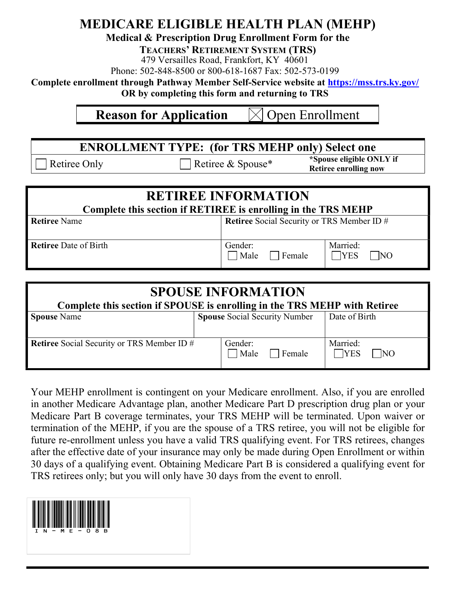## MEDICARE ELIGIBLE HEALTH PLAN (MEHP)

## Medical & Prescription Drug Enrollment Form for the

TEACHERS' RETIREMENT SYSTEM (TRS)

479 Versailles Road, Frankfort, KY 40601

Phone: 502-848-8500 or 800-618-1687 Fax: 502-573-0199

Complete enrollment through Pathway Member Self-Service website at https://mss.trs.ky.gov/

OR by completing this form and returning to TRS

## **Reason for Application**  $\lfloor \times \rfloor$  Open Enrollment

ENROLLMENT TYPE: (for TRS MEHP only) Select one Retiree Only Retiree & Spouse\* \*Spouse eligible ONLY if Retiree enrolling now

| <b>RETIREE INFORMATION</b>                                    |                                                   |                              |  |  |
|---------------------------------------------------------------|---------------------------------------------------|------------------------------|--|--|
| Complete this section if RETIREE is enrolling in the TRS MEHP |                                                   |                              |  |  |
| <b>Retiree Name</b>                                           | <b>Retiree</b> Social Security or TRS Member ID # |                              |  |  |
| Retiree Date of Birth                                         | Gender:<br>Male<br>Female                         | Married:<br><b>YES</b><br>NO |  |  |

| <b>SPOUSE INFORMATION</b>                                                 |  |                                      |                                          |  |
|---------------------------------------------------------------------------|--|--------------------------------------|------------------------------------------|--|
| Complete this section if SPOUSE is enrolling in the TRS MEHP with Retiree |  |                                      |                                          |  |
| <b>Spouse Name</b>                                                        |  | <b>Spouse Social Security Number</b> | Date of Birth                            |  |
| <b>Retiree</b> Social Security or TRS Member ID #                         |  | Gender:<br>Male<br>Female            | Married:<br><b>YES</b><br>N <sub>O</sub> |  |

Your MEHP enrollment is contingent on your Medicare enrollment. Also, if you are enrolled in another Medicare Advantage plan, another Medicare Part D prescription drug plan or your Medicare Part B coverage terminates, your TRS MEHP will be terminated. Upon waiver or termination of the MEHP, if you are the spouse of a TRS retiree, you will not be eligible for future re-enrollment unless you have a valid TRS qualifying event. For TRS retirees, changes after the effective date of your insurance may only be made during Open Enrollment or within 30 days of a qualifying event. Obtaining Medicare Part B is considered a qualifying event for TRS retirees only; but you will only have 30 days from the event to enroll.